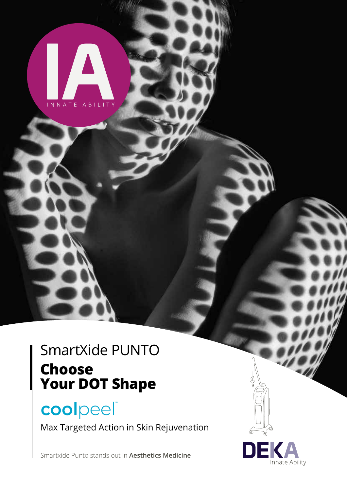

# coolpeel®

INNATE ABILITY

Max Targeted Action in Skin Rejuvenation

DEK

Innate Ability

Smartxide Punto stands out in **Aesthetics Medicine**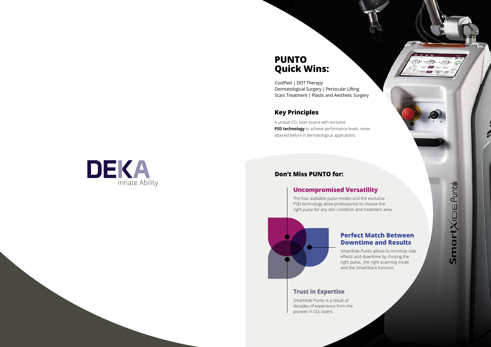## **PUNTO Quick Wins:**

CoolPeel | DOT Therapy Dermatological Surgery | Periocular Lifting Scars Treatment | Plastic and Aesthetic Surgery

### **Key Principles**

A unique  $CO<sub>2</sub>$  laser source with exclusive **PSD technology** to achieve performance levels never attained before in dermatological applications.

## DEKA Innate Ability

SmartXide Punto is a result of decades of experience from the pioneer in CO<sub>2</sub> lasers.



SmartXIDE Punto

 $\mathop{\longrightarrow}$ 

### **Don't Miss PUNTO for:**

### **Trust in Expertise**

### **Uncompromised Versatility**

The four available pulse modes and the exclusive PSD technology allow professionist to choose the right pulse for any skin condition and treatment area.



### **Perfect Match Between Downtime and Results**

SmartXide Punto allows to minimize side effects and downtime by chosing the right pulse, the right scanning mode and the SmartStack function.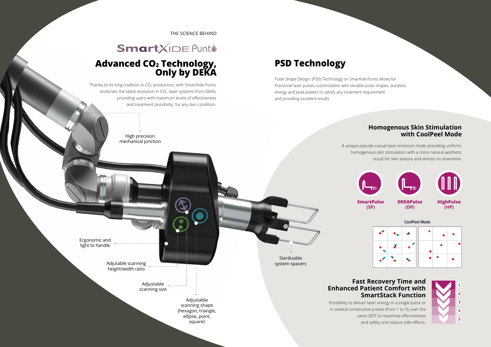

THE SCIENCE BEHIND

## SmartXIDE Punto

## **Advanced CO2 Technology, Only by DEKA**

## **PSD Technology**

Pulse Shape Design (PSD) Technology on SmarXide Punto allows for Fractional laser pulses customization with variable pulse shapes, duration, energy and peak powers to satisfy any treatment requirement and providing excellent results.

### **Homogenous Skin Stimulation with CoolPeel Mode**

A unique pseudo-casual laser emission mode providing uniform, homogenous skin stimulation with a more natural aesthetic result for skin texture and almost no downtime.

Thanks to its long tradition in  $CO<sub>2</sub>$  production, with SmartXide Punto endorses the latest evolution in  $CO<sub>2</sub>$  laser systems from DEKA, providing users with maximum levels of effectiveness and treatment possibility for any skin condition.

### **Fast Recovery Time and Enhanced Patient Comfort with SmartStack Function**

Possibility to deliver laser energy in a single pulse or in several consecutive pulses (from 1 to 5), over the same DOT to maximise effectiveness and safety and reduce side effects.

Adjutable scanning height/width ratio

> Adjustable scanning size

> > Adjustable scanning shape (hexagon, triangle, ellipse, point, square)

Sterilizable system spacers

Ergonomic and light to handle

High precision mechanical junction

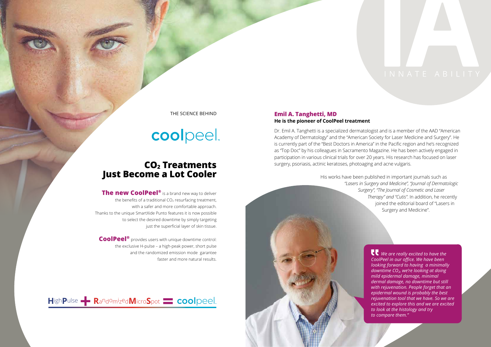### **CO2 Treatments Just Become a Lot Cooler**

### THE SCIENCE BEHIND

# coolpeel

**The new CoolPeel®** is a brand new way to deliver the benefits of a traditional  $CO<sub>2</sub>$  resurfacing treatment, with a safer and more comfortable approach. Thanks to the unique SmartXide Punto features it is now possible to select the desired downtime by simply targeting just the superficial layer of skin tissue.

**CoolPeel®** provides users with unique downtime control: the exclusive H-pulse – a high-peak power, short pulse and the randomized emission mode garantee faster and more natural results.



### **Emil A. Tanghetti, MD He is the pioneer of CoolPeel treatment**

Dr. Emil A. Tanghetti is a specialized dermatologist and is a member of the AAD "American Academy of Dermatology" and the "American Society for Laser Medicine and Surgery". He is currently part of the "Best Doctors in America" in the Pacific region and he's recognized as "Top Doc" by his colleagues in Sacramento Magazine. He has been actively engaged in participation in various clinical trials for over 20 years. His research has focused on laser surgery, psoriasis, actinic keratoses, photoaging and acne vulgaris.

His works have been published in important journals such as *"Lasers in Surgery and Medicine", "Journal of Dermatologic Surgery", "The Journal of Cosmetic and Laser Therapy" and "Cutis"*. In addition, he recently joined the editorial board of "Lasers in Surgery and Medicine". *C We are really excited to have the CoolPeel in our office. We have been looking forward to having a minimally downtime CO2, we're looking at doing mild epidermal damage, minimal dermal damage, no downtime but still with rejuvenation. People forget that an epidermal wound is probably the best rejuvenation tool that we have. So we are excited to explore this and we are excited to look at the histology and try to compare them."*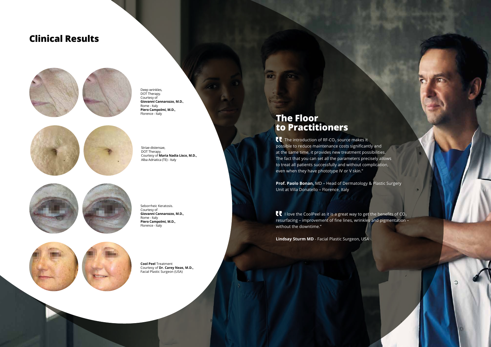## **The Floor to Practitioners**

 $\blacksquare$  The introduction of RF-CO<sub>2</sub> source makes it **possible to reduce maintenance costs significantly and** at the same time, it provides new treatment possibilities. The fact that you can set all the parameters precisely allows to treat all patients successfully and without complication, even when they have phototype IV or V skin."

**I** love the CoolPeel as it is a great way to get the benefits of  $CO<sub>2</sub>$ resurfacing – improvement of fine lines, wrinkles and pigmentation – without the downtime."

**Prof. Paolo Bonan,** MD – Head of Dermatology & Plastic Surgery Unit at Villa Donatello – Florence, Italy

**Lindsay Sturm MD** - Facial Plastic Surgeon, USA

## **Clinical Results**



Striae distensae, DOT Therapy. Courtesy of **Maria Nadia Lisco, M.D.,**  Alba Adriatica (TE) - Italy









Seborrheic Keratosis. Courtesy of **Giovanni Cannarozzo, M.D.,** Rome - Italy **Piero Campolmi, M.D.,**  Florence - Italy



**Cool Peel** Treatment Courtesy of **Dr. Carey Neas, M.D.,** Facial Plastic Surgeon (USA)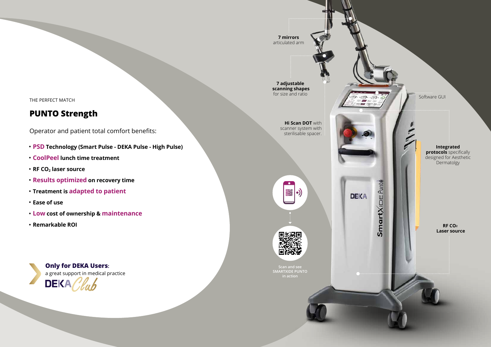#### **RF CO2 Laser source**

**7 adjustable scanning shapes** for size and ratio

#### **Integrated protocols** specifically designed for Aesthetic **Dermatolgy**

**Hi Scan DOT** with scanner system with sterilisable spacer.







Software GUI

**7 mirrors**  articulated arm

Operator and patient total comfort benefits:

**Only for DEKA Users:** a great support in medical practice **DEKA** 

THE PERFECT MATCH

### **PUNTO Strength**

- **PSD Technology (Smart Pulse DEKA Pulse High Pulse)**
- **CoolPeel lunch time treatment**
- **RF CO<sub>2</sub>** laser source
- **Results optimized on recovery time**
- **Treatment is adapted to patient**
- **Ease of use**
- **Low cost of ownership & maintenance**
- **Remarkable ROI**

**Scan and see SMARTXIDE PUNTO in action**

**DEKA** 

SmartXIDE Punte

D.

 $\cdot$   $\odot$